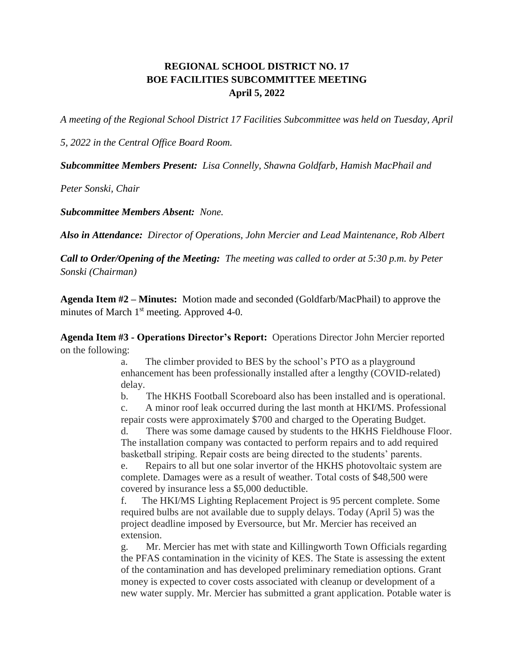## **REGIONAL SCHOOL DISTRICT NO. 17 BOE FACILITIES SUBCOMMITTEE MEETING April 5, 2022**

*A meeting of the Regional School District 17 Facilities Subcommittee was held on Tuesday, April* 

*5, 2022 in the Central Office Board Room.*

*Subcommittee Members Present: Lisa Connelly, Shawna Goldfarb, Hamish MacPhail and* 

*Peter Sonski, Chair*

*Subcommittee Members Absent: None.*

*Also in Attendance: Director of Operations, John Mercier and Lead Maintenance, Rob Albert*

*Call to Order/Opening of the Meeting: The meeting was called to order at 5:30 p.m. by Peter Sonski (Chairman)*

**Agenda Item #2 – Minutes:** Motion made and seconded (Goldfarb/MacPhail) to approve the minutes of March 1<sup>st</sup> meeting. Approved 4-0.

**Agenda Item #3 - Operations Director's Report:** Operations Director John Mercier reported on the following:

> a. The climber provided to BES by the school's PTO as a playground enhancement has been professionally installed after a lengthy (COVID-related) delay.

b. The HKHS Football Scoreboard also has been installed and is operational.

c. A minor roof leak occurred during the last month at HKI/MS. Professional repair costs were approximately \$700 and charged to the Operating Budget.

d. There was some damage caused by students to the HKHS Fieldhouse Floor. The installation company was contacted to perform repairs and to add required basketball striping. Repair costs are being directed to the students' parents.

e. Repairs to all but one solar invertor of the HKHS photovoltaic system are complete. Damages were as a result of weather. Total costs of \$48,500 were covered by insurance less a \$5,000 deductible.

f. The HKI/MS Lighting Replacement Project is 95 percent complete. Some required bulbs are not available due to supply delays. Today (April 5) was the project deadline imposed by Eversource, but Mr. Mercier has received an extension.

g. Mr. Mercier has met with state and Killingworth Town Officials regarding the PFAS contamination in the vicinity of KES. The State is assessing the extent of the contamination and has developed preliminary remediation options. Grant money is expected to cover costs associated with cleanup or development of a new water supply. Mr. Mercier has submitted a grant application. Potable water is